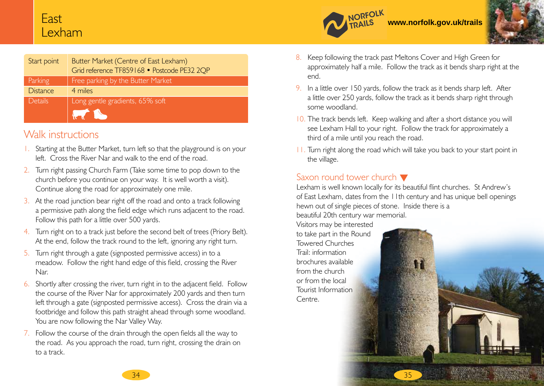## East Lexham

| Start point     | Butter Market (Centre of East Lexham)<br>Grid reference TF859168 • Postcode PE32 2QP                                                                                                                                                                                    |
|-----------------|-------------------------------------------------------------------------------------------------------------------------------------------------------------------------------------------------------------------------------------------------------------------------|
| Parking         | Free parking by the Butter Market                                                                                                                                                                                                                                       |
| <b>Distance</b> | 4 miles                                                                                                                                                                                                                                                                 |
| <b>Details</b>  | Long gentle gradients, 65% soft<br><b>The Comment of the Comment of the Comment of The Comment of The Comment of The Comment of The Comment of The Comment of The Comment of The Comment of The Comment of The Comment of The Comment of The Comment of The Comment</b> |

## Walk instructions

- 1. Starting at the Butter Market, turn left so that the playground is on your left. Cross the River Nar and walk to the end of the road.
- 2. Turn right passing Church Farm (Take some time to pop down to the church before you continue on your way. It is well worth a visit). Continue along the road for approximately one mile.
- 3. At the road junction bear right off the road and onto a track following a permissive path along the field edge which runs adjacent to the road. Follow this path for a little over 500 yards.
- 4. Turn right on to a track just before the second belt of trees (Priory Belt). At the end, follow the track round to the left, ignoring any right turn.
- 5. Turn right through a gate (signposted permissive access) in to a meadow. Follow the right hand edge of this field, crossing the River Nar.
- 6. Shortly after crossing the river, turn right in to the adjacent field. Follow the course of the River Nar for approximately 200 yards and then turn left through a gate (signposted permissive access). Cross the drain via a footbridge and follow this path straight ahead through some woodland. You are now following the Nar Valley Way.
- 7. Follow the course of the drain through the open fields all the way to the road. As you approach the road, turn right, crossing the drain on to a track.



- 8. Keep following the track past Meltons Cover and High Green for approximately half a mile. Follow the track as it bends sharp right at the end.
- 9. In a little over 150 yards, follow the track as it bends sharp left. After a little over 250 yards, follow the track as it bends sharp right through some woodland.
- 10. The track bends left. Keep walking and after a short distance you will see Lexham Hall to your right. Follow the track for approximately a third of a mile until you reach the road.
- 11. Turn right along the road which will take you back to your start point in the village.

## Saxon round tower church  $\blacktriangledown$

Lexham is well known locally for its beautiful flint churches. St Andrew's of East Lexham, dates from the 11th century and has unique bell openings hewn out of single pieces of stone. Inside there is a beautiful 20th century war memorial.

Visitors may be interested to take part in the Round Towered Churches Trail: information brochures available from the church or from the local Tourist Information Centre.